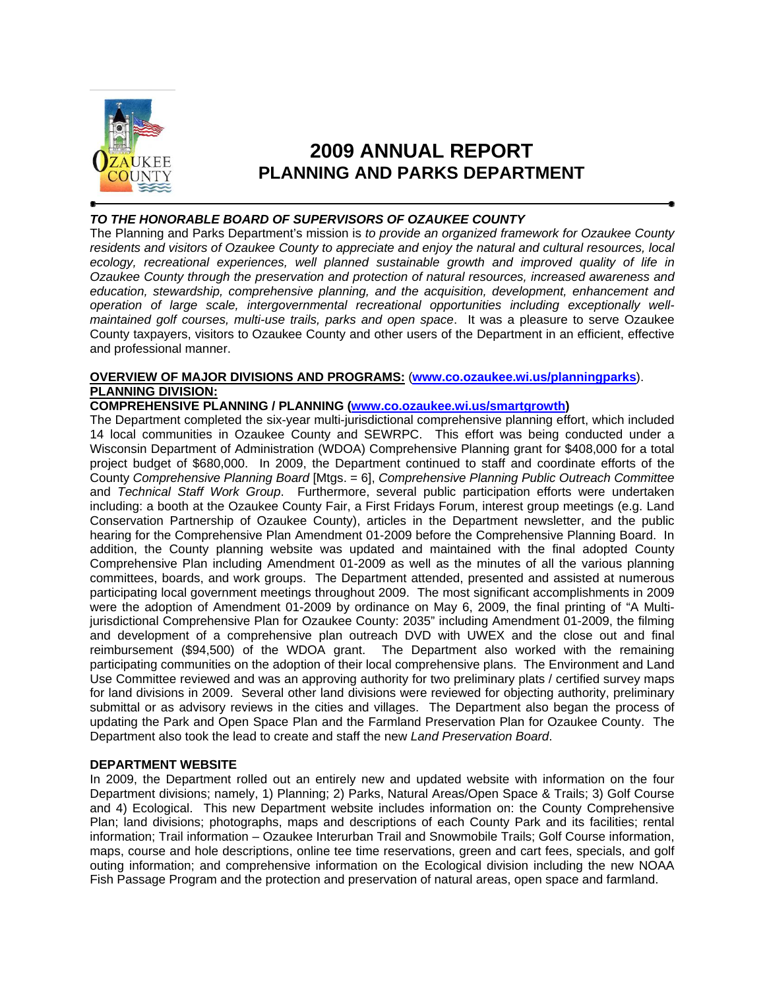

# **2009 ANNUAL REPORT PLANNING AND PARKS DEPARTMENT**

# *TO THE HONORABLE BOARD OF SUPERVISORS OF OZAUKEE COUNTY*

The Planning and Parks Department's mission is *to provide an organized framework for Ozaukee County residents and visitors of Ozaukee County to appreciate and enjoy the natural and cultural resources, local ecology, recreational experiences, well planned sustainable growth and improved quality of life in Ozaukee County through the preservation and protection of natural resources, increased awareness and education, stewardship, comprehensive planning, and the acquisition, development, enhancement and operation of large scale, intergovernmental recreational opportunities including exceptionally wellmaintained golf courses, multi-use trails, parks and open space*. It was a pleasure to serve Ozaukee County taxpayers, visitors to Ozaukee County and other users of the Department in an efficient, effective and professional manner.

# **OVERVIEW OF MAJOR DIVISIONS AND PROGRAMS:** (**www.co.ozaukee.wi.us/planningparks**). **PLANNING DIVISION:**

# **COMPREHENSIVE PLANNING / PLANNING (www.co.ozaukee.wi.us/smartgrowth)**

The Department completed the six-year multi-jurisdictional comprehensive planning effort, which included 14 local communities in Ozaukee County and SEWRPC. This effort was being conducted under a Wisconsin Department of Administration (WDOA) Comprehensive Planning grant for \$408,000 for a total project budget of \$680,000. In 2009, the Department continued to staff and coordinate efforts of the County *Comprehensive Planning Board* [Mtgs. = 6], *Comprehensive Planning Public Outreach Committee*  and *Technical Staff Work Group*. Furthermore, several public participation efforts were undertaken including: a booth at the Ozaukee County Fair, a First Fridays Forum, interest group meetings (e.g. Land Conservation Partnership of Ozaukee County), articles in the Department newsletter, and the public hearing for the Comprehensive Plan Amendment 01-2009 before the Comprehensive Planning Board. In addition, the County planning website was updated and maintained with the final adopted County Comprehensive Plan including Amendment 01-2009 as well as the minutes of all the various planning committees, boards, and work groups. The Department attended, presented and assisted at numerous participating local government meetings throughout 2009. The most significant accomplishments in 2009 were the adoption of Amendment 01-2009 by ordinance on May 6, 2009, the final printing of "A Multijurisdictional Comprehensive Plan for Ozaukee County: 2035" including Amendment 01-2009, the filming and development of a comprehensive plan outreach DVD with UWEX and the close out and final reimbursement (\$94,500) of the WDOA grant. The Department also worked with the remaining participating communities on the adoption of their local comprehensive plans. The Environment and Land Use Committee reviewed and was an approving authority for two preliminary plats / certified survey maps for land divisions in 2009. Several other land divisions were reviewed for objecting authority, preliminary submittal or as advisory reviews in the cities and villages. The Department also began the process of updating the Park and Open Space Plan and the Farmland Preservation Plan for Ozaukee County. The Department also took the lead to create and staff the new *Land Preservation Board*.

# **DEPARTMENT WEBSITE**

In 2009, the Department rolled out an entirely new and updated website with information on the four Department divisions; namely, 1) Planning; 2) Parks, Natural Areas/Open Space & Trails; 3) Golf Course and 4) Ecological. This new Department website includes information on: the County Comprehensive Plan; land divisions; photographs, maps and descriptions of each County Park and its facilities; rental information; Trail information – Ozaukee Interurban Trail and Snowmobile Trails; Golf Course information, maps, course and hole descriptions, online tee time reservations, green and cart fees, specials, and golf outing information; and comprehensive information on the Ecological division including the new NOAA Fish Passage Program and the protection and preservation of natural areas, open space and farmland.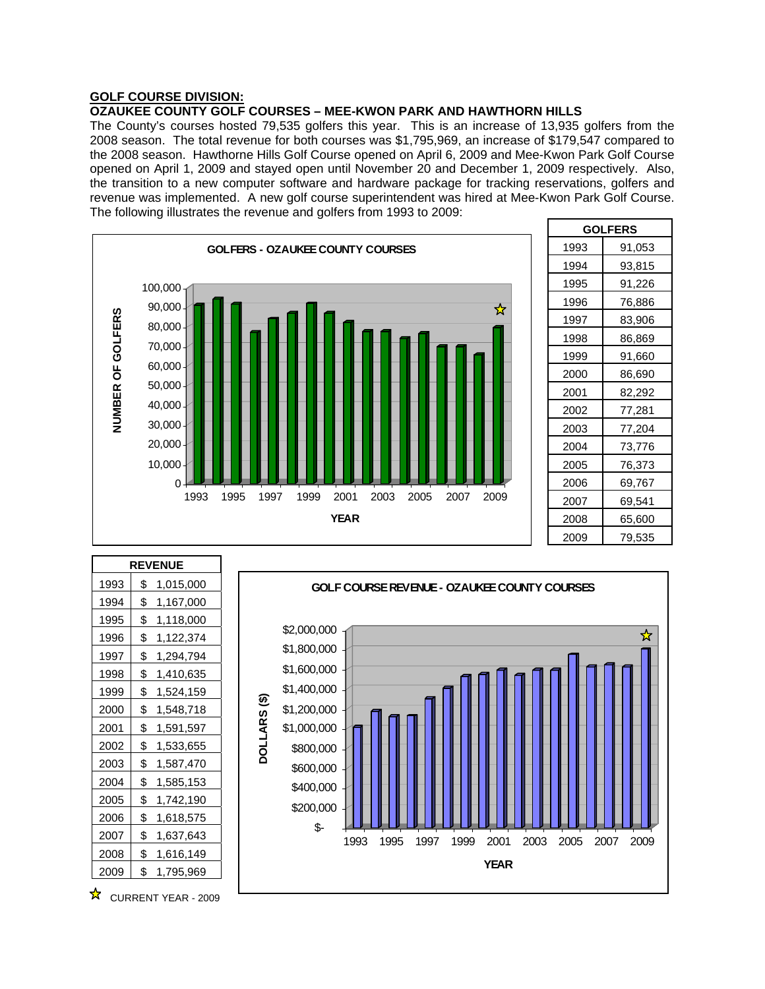# **GOLF COURSE DIVISION:**

# **OZAUKEE COUNTY GOLF COURSES – MEE-KWON PARK AND HAWTHORN HILLS**

The County's courses hosted 79,535 golfers this year. This is an increase of 13,935 golfers from the 2008 season. The total revenue for both courses was \$1,795,969, an increase of \$179,547 compared to the 2008 season. Hawthorne Hills Golf Course opened on April 6, 2009 and Mee-Kwon Park Golf Course opened on April 1, 2009 and stayed open until November 20 and December 1, 2009 respectively. Also, the transition to a new computer software and hardware package for tracking reservations, golfers and revenue was implemented. A new golf course superintendent was hired at Mee-Kwon Park Golf Course. The following illustrates the revenue and golfers from 1993 to 2009:



| <b>GOLFERS</b> |        |  |  |  |  |  |
|----------------|--------|--|--|--|--|--|
| 1993           | 91,053 |  |  |  |  |  |
| 1994           | 93,815 |  |  |  |  |  |
| 1995           | 91,226 |  |  |  |  |  |
| 1996           | 76,886 |  |  |  |  |  |
| 1997           | 83,906 |  |  |  |  |  |
| 1998           | 86,869 |  |  |  |  |  |
| 1999           | 91,660 |  |  |  |  |  |
| 2000           | 86,690 |  |  |  |  |  |
| 2001           | 82,292 |  |  |  |  |  |
| 2002           | 77,281 |  |  |  |  |  |
| 2003           | 77,204 |  |  |  |  |  |
| 2004           | 73,776 |  |  |  |  |  |
| 2005           | 76,373 |  |  |  |  |  |
| 2006           | 69,767 |  |  |  |  |  |
| 2007           | 69,541 |  |  |  |  |  |
| 2008           | 65,600 |  |  |  |  |  |
| 2009           | 79,535 |  |  |  |  |  |

| <b>REVENUE</b> |                 |  |  |  |  |
|----------------|-----------------|--|--|--|--|
| 1993           | \$<br>1,015,000 |  |  |  |  |
| 1994           | \$<br>1,167,000 |  |  |  |  |
| 1995           | \$<br>1,118,000 |  |  |  |  |
| 1996           | \$<br>1,122,374 |  |  |  |  |
| 1997           | \$<br>1,294,794 |  |  |  |  |
| 1998           | \$<br>1,410,635 |  |  |  |  |
| 1999           | \$<br>1,524,159 |  |  |  |  |
| 2000           | \$<br>1,548,718 |  |  |  |  |
| 2001           | \$<br>1,591,597 |  |  |  |  |
| 2002           | \$<br>1,533,655 |  |  |  |  |
| 2003           | \$<br>1,587,470 |  |  |  |  |
| 2004           | \$<br>1,585,153 |  |  |  |  |
| 2005           | \$<br>1,742,190 |  |  |  |  |
| 2006           | \$<br>1,618,575 |  |  |  |  |
| 2007           | \$<br>1,637,643 |  |  |  |  |
| 2008           | \$<br>1,616,149 |  |  |  |  |
| 2009           | \$<br>1,795,969 |  |  |  |  |

**GOLF COURSE REVENUE - OZAUKEE COUNTY COURSES** \$2,000,000 ☆ \$1,800,000 \$1,600,000 \$1,400,000 **DOLLARS (\$)**  DOLLARS (\$) **DOLLARS (** \$1,200,000 \$1,000,000 \$800,000 \$600,000 \$400,000 \$200,000 \$- 1993 1995 1997 1999 2001 2003 2005 2007 2009 **YEAR**

 $\overrightarrow{X}$  CURRENT YEAR - 2009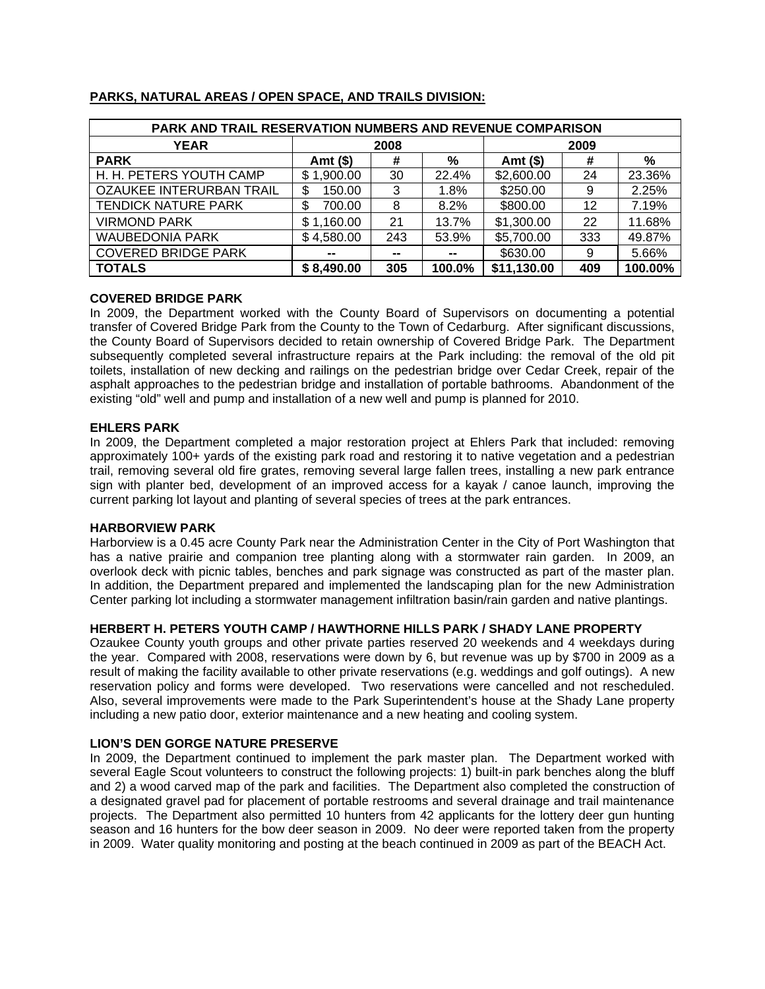| PARK AND TRAIL RESERVATION NUMBERS AND REVENUE COMPARISON |              |        |        |             |     |         |  |  |  |
|-----------------------------------------------------------|--------------|--------|--------|-------------|-----|---------|--|--|--|
| <b>YEAR</b>                                               | 2008         |        |        | 2009        |     |         |  |  |  |
| <b>PARK</b>                                               | Amt $($ \$)  | #      | %      | Amt (\$)    | #   | %       |  |  |  |
| H. H. PETERS YOUTH CAMP                                   | \$1,900.00   | 30     | 22.4%  | \$2,600.00  | 24  | 23.36%  |  |  |  |
| OZAUKEE INTERURBAN TRAIL                                  | 150.00<br>\$ | 3      | 1.8%   | \$250.00    | 9   | 2.25%   |  |  |  |
| <b>TENDICK NATURE PARK</b>                                | \$<br>700.00 | 8      | 8.2%   | \$800.00    | 12  | 7.19%   |  |  |  |
| <b>VIRMOND PARK</b>                                       | \$1,160.00   | 21     | 13.7%  | \$1,300.00  | 22  | 11.68%  |  |  |  |
| <b>WAUBEDONIA PARK</b>                                    | \$4,580.00   | 243    | 53.9%  | \$5,700.00  | 333 | 49.87%  |  |  |  |
| <b>COVERED BRIDGE PARK</b>                                | --           | $\sim$ | --     | \$630.00    | 9   | 5.66%   |  |  |  |
| <b>TOTALS</b>                                             | \$8,490.00   | 305    | 100.0% | \$11,130.00 | 409 | 100.00% |  |  |  |

# **PARKS, NATURAL AREAS / OPEN SPACE, AND TRAILS DIVISION:**

# **COVERED BRIDGE PARK**

In 2009, the Department worked with the County Board of Supervisors on documenting a potential transfer of Covered Bridge Park from the County to the Town of Cedarburg. After significant discussions, the County Board of Supervisors decided to retain ownership of Covered Bridge Park. The Department subsequently completed several infrastructure repairs at the Park including: the removal of the old pit toilets, installation of new decking and railings on the pedestrian bridge over Cedar Creek, repair of the asphalt approaches to the pedestrian bridge and installation of portable bathrooms. Abandonment of the existing "old" well and pump and installation of a new well and pump is planned for 2010.

# **EHLERS PARK**

In 2009, the Department completed a major restoration project at Ehlers Park that included: removing approximately 100+ yards of the existing park road and restoring it to native vegetation and a pedestrian trail, removing several old fire grates, removing several large fallen trees, installing a new park entrance sign with planter bed, development of an improved access for a kayak / canoe launch, improving the current parking lot layout and planting of several species of trees at the park entrances.

### **HARBORVIEW PARK**

Harborview is a 0.45 acre County Park near the Administration Center in the City of Port Washington that has a native prairie and companion tree planting along with a stormwater rain garden. In 2009, an overlook deck with picnic tables, benches and park signage was constructed as part of the master plan. In addition, the Department prepared and implemented the landscaping plan for the new Administration Center parking lot including a stormwater management infiltration basin/rain garden and native plantings.

# **HERBERT H. PETERS YOUTH CAMP / HAWTHORNE HILLS PARK / SHADY LANE PROPERTY**

Ozaukee County youth groups and other private parties reserved 20 weekends and 4 weekdays during the year. Compared with 2008, reservations were down by 6, but revenue was up by \$700 in 2009 as a result of making the facility available to other private reservations (e.g. weddings and golf outings). A new reservation policy and forms were developed. Two reservations were cancelled and not rescheduled. Also, several improvements were made to the Park Superintendent's house at the Shady Lane property including a new patio door, exterior maintenance and a new heating and cooling system.

# **LION'S DEN GORGE NATURE PRESERVE**

In 2009, the Department continued to implement the park master plan. The Department worked with several Eagle Scout volunteers to construct the following projects: 1) built-in park benches along the bluff and 2) a wood carved map of the park and facilities. The Department also completed the construction of a designated gravel pad for placement of portable restrooms and several drainage and trail maintenance projects. The Department also permitted 10 hunters from 42 applicants for the lottery deer gun hunting season and 16 hunters for the bow deer season in 2009. No deer were reported taken from the property in 2009. Water quality monitoring and posting at the beach continued in 2009 as part of the BEACH Act.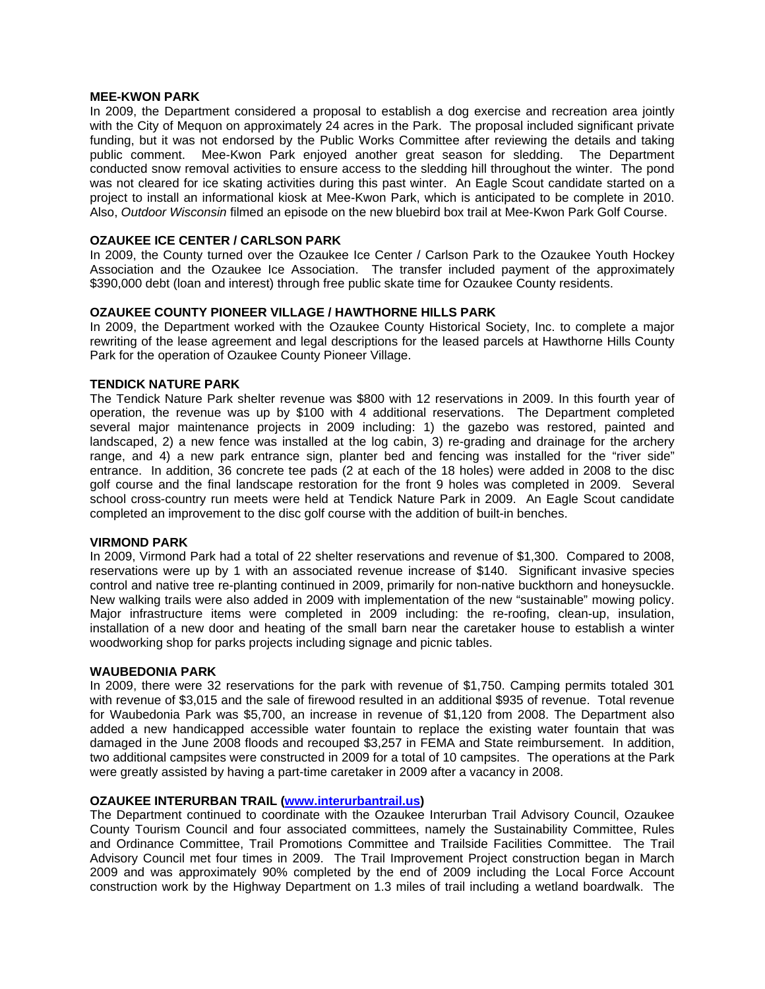#### **MEE-KWON PARK**

In 2009, the Department considered a proposal to establish a dog exercise and recreation area jointly with the City of Mequon on approximately 24 acres in the Park. The proposal included significant private funding, but it was not endorsed by the Public Works Committee after reviewing the details and taking public comment. Mee-Kwon Park enjoyed another great season for sledding. The Department conducted snow removal activities to ensure access to the sledding hill throughout the winter. The pond was not cleared for ice skating activities during this past winter. An Eagle Scout candidate started on a project to install an informational kiosk at Mee-Kwon Park, which is anticipated to be complete in 2010. Also, *Outdoor Wisconsin* filmed an episode on the new bluebird box trail at Mee-Kwon Park Golf Course.

### **OZAUKEE ICE CENTER / CARLSON PARK**

In 2009, the County turned over the Ozaukee Ice Center / Carlson Park to the Ozaukee Youth Hockey Association and the Ozaukee Ice Association. The transfer included payment of the approximately \$390,000 debt (loan and interest) through free public skate time for Ozaukee County residents.

# **OZAUKEE COUNTY PIONEER VILLAGE / HAWTHORNE HILLS PARK**

In 2009, the Department worked with the Ozaukee County Historical Society, Inc. to complete a major rewriting of the lease agreement and legal descriptions for the leased parcels at Hawthorne Hills County Park for the operation of Ozaukee County Pioneer Village.

# **TENDICK NATURE PARK**

The Tendick Nature Park shelter revenue was \$800 with 12 reservations in 2009. In this fourth year of operation, the revenue was up by \$100 with 4 additional reservations. The Department completed several major maintenance projects in 2009 including: 1) the gazebo was restored, painted and landscaped, 2) a new fence was installed at the log cabin, 3) re-grading and drainage for the archery range, and 4) a new park entrance sign, planter bed and fencing was installed for the "river side" entrance. In addition, 36 concrete tee pads (2 at each of the 18 holes) were added in 2008 to the disc golf course and the final landscape restoration for the front 9 holes was completed in 2009. Several school cross-country run meets were held at Tendick Nature Park in 2009. An Eagle Scout candidate completed an improvement to the disc golf course with the addition of built-in benches.

### **VIRMOND PARK**

In 2009, Virmond Park had a total of 22 shelter reservations and revenue of \$1,300. Compared to 2008, reservations were up by 1 with an associated revenue increase of \$140. Significant invasive species control and native tree re-planting continued in 2009, primarily for non-native buckthorn and honeysuckle. New walking trails were also added in 2009 with implementation of the new "sustainable" mowing policy. Major infrastructure items were completed in 2009 including: the re-roofing, clean-up, insulation, installation of a new door and heating of the small barn near the caretaker house to establish a winter woodworking shop for parks projects including signage and picnic tables.

### **WAUBEDONIA PARK**

In 2009, there were 32 reservations for the park with revenue of \$1,750. Camping permits totaled 301 with revenue of \$3,015 and the sale of firewood resulted in an additional \$935 of revenue. Total revenue for Waubedonia Park was \$5,700, an increase in revenue of \$1,120 from 2008. The Department also added a new handicapped accessible water fountain to replace the existing water fountain that was damaged in the June 2008 floods and recouped \$3,257 in FEMA and State reimbursement. In addition, two additional campsites were constructed in 2009 for a total of 10 campsites. The operations at the Park were greatly assisted by having a part-time caretaker in 2009 after a vacancy in 2008.

### **OZAUKEE INTERURBAN TRAIL (www.interurbantrail.us)**

The Department continued to coordinate with the Ozaukee Interurban Trail Advisory Council, Ozaukee County Tourism Council and four associated committees, namely the Sustainability Committee, Rules and Ordinance Committee, Trail Promotions Committee and Trailside Facilities Committee. The Trail Advisory Council met four times in 2009. The Trail Improvement Project construction began in March 2009 and was approximately 90% completed by the end of 2009 including the Local Force Account construction work by the Highway Department on 1.3 miles of trail including a wetland boardwalk. The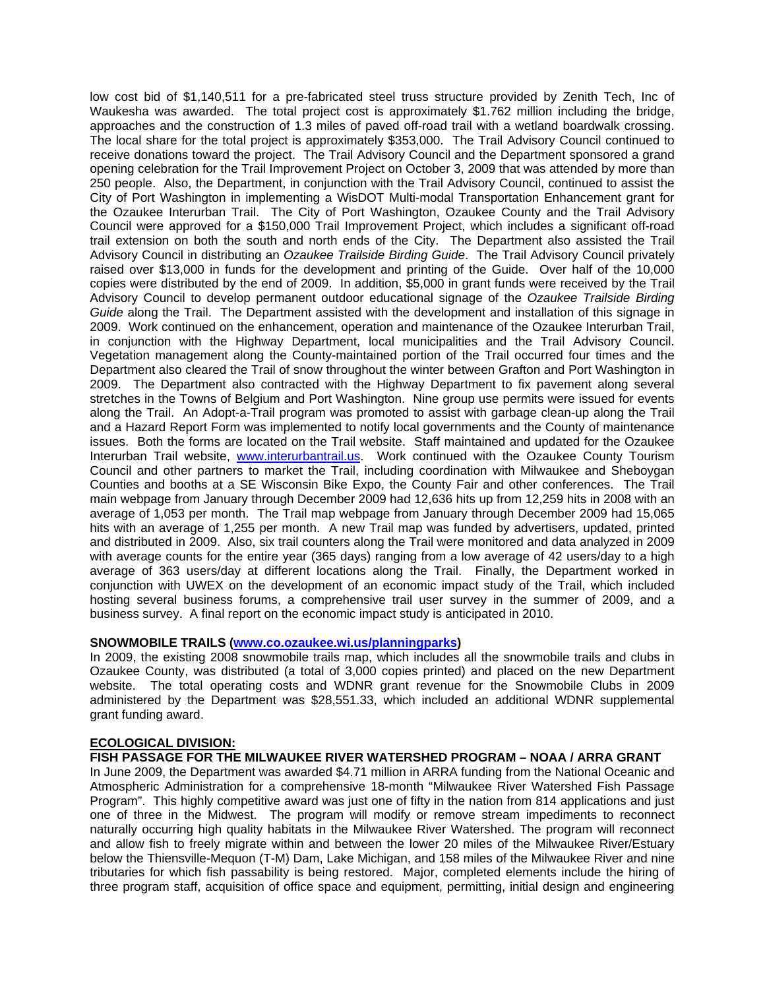low cost bid of \$1,140,511 for a pre-fabricated steel truss structure provided by Zenith Tech, Inc of Waukesha was awarded. The total project cost is approximately \$1.762 million including the bridge, approaches and the construction of 1.3 miles of paved off-road trail with a wetland boardwalk crossing. The local share for the total project is approximately \$353,000. The Trail Advisory Council continued to receive donations toward the project. The Trail Advisory Council and the Department sponsored a grand opening celebration for the Trail Improvement Project on October 3, 2009 that was attended by more than 250 people. Also, the Department, in conjunction with the Trail Advisory Council, continued to assist the City of Port Washington in implementing a WisDOT Multi-modal Transportation Enhancement grant for the Ozaukee Interurban Trail. The City of Port Washington, Ozaukee County and the Trail Advisory Council were approved for a \$150,000 Trail Improvement Project, which includes a significant off-road trail extension on both the south and north ends of the City. The Department also assisted the Trail Advisory Council in distributing an *Ozaukee Trailside Birding Guide*. The Trail Advisory Council privately raised over \$13,000 in funds for the development and printing of the Guide. Over half of the 10,000 copies were distributed by the end of 2009. In addition, \$5,000 in grant funds were received by the Trail Advisory Council to develop permanent outdoor educational signage of the *Ozaukee Trailside Birding Guide* along the Trail. The Department assisted with the development and installation of this signage in 2009. Work continued on the enhancement, operation and maintenance of the Ozaukee Interurban Trail, in conjunction with the Highway Department, local municipalities and the Trail Advisory Council. Vegetation management along the County-maintained portion of the Trail occurred four times and the Department also cleared the Trail of snow throughout the winter between Grafton and Port Washington in 2009. The Department also contracted with the Highway Department to fix pavement along several stretches in the Towns of Belgium and Port Washington. Nine group use permits were issued for events along the Trail. An Adopt-a-Trail program was promoted to assist with garbage clean-up along the Trail and a Hazard Report Form was implemented to notify local governments and the County of maintenance issues. Both the forms are located on the Trail website. Staff maintained and updated for the Ozaukee Interurban Trail website, www.interurbantrail.us. Work continued with the Ozaukee County Tourism Council and other partners to market the Trail, including coordination with Milwaukee and Sheboygan Counties and booths at a SE Wisconsin Bike Expo, the County Fair and other conferences. The Trail main webpage from January through December 2009 had 12,636 hits up from 12,259 hits in 2008 with an average of 1,053 per month. The Trail map webpage from January through December 2009 had 15,065 hits with an average of 1,255 per month. A new Trail map was funded by advertisers, updated, printed and distributed in 2009. Also, six trail counters along the Trail were monitored and data analyzed in 2009 with average counts for the entire year (365 days) ranging from a low average of 42 users/day to a high average of 363 users/day at different locations along the Trail. Finally, the Department worked in conjunction with UWEX on the development of an economic impact study of the Trail, which included hosting several business forums, a comprehensive trail user survey in the summer of 2009, and a business survey. A final report on the economic impact study is anticipated in 2010.

### **SNOWMOBILE TRAILS (www.co.ozaukee.wi.us/planningparks)**

In 2009, the existing 2008 snowmobile trails map, which includes all the snowmobile trails and clubs in Ozaukee County, was distributed (a total of 3,000 copies printed) and placed on the new Department website. The total operating costs and WDNR grant revenue for the Snowmobile Clubs in 2009 administered by the Department was \$28,551.33, which included an additional WDNR supplemental grant funding award.

# **ECOLOGICAL DIVISION:**

# **FISH PASSAGE FOR THE MILWAUKEE RIVER WATERSHED PROGRAM – NOAA / ARRA GRANT**

In June 2009, the Department was awarded \$4.71 million in ARRA funding from the National Oceanic and Atmospheric Administration for a comprehensive 18-month "Milwaukee River Watershed Fish Passage Program". This highly competitive award was just one of fifty in the nation from 814 applications and just one of three in the Midwest. The program will modify or remove stream impediments to reconnect naturally occurring high quality habitats in the Milwaukee River Watershed. The program will reconnect and allow fish to freely migrate within and between the lower 20 miles of the Milwaukee River/Estuary below the Thiensville-Mequon (T-M) Dam, Lake Michigan, and 158 miles of the Milwaukee River and nine tributaries for which fish passability is being restored. Major, completed elements include the hiring of three program staff, acquisition of office space and equipment, permitting, initial design and engineering